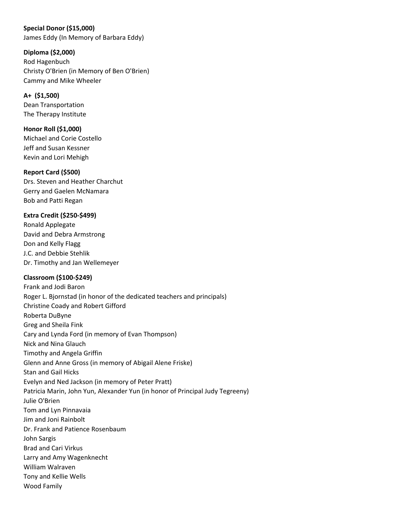**Special Donor (\$15,000)**

James Eddy (In Memory of Barbara Eddy)

**Diploma (\$2,000)** Rod Hagenbuch Christy O'Brien (in Memory of Ben O'Brien) Cammy and Mike Wheeler

**A+ (\$1,500)** Dean Transportation The Therapy Institute

**Honor Roll (\$1,000)** Michael and Corie Costello Jeff and Susan Kessner Kevin and Lori Mehigh

**Report Card (\$500)** Drs. Steven and Heather Charchut Gerry and Gaelen McNamara Bob and Patti Regan

**Extra Credit (\$250-\$499)** Ronald Applegate David and Debra Armstrong Don and Kelly Flagg J.C. and Debbie Stehlik Dr. Timothy and Jan Wellemeyer

## **Classroom (\$100-\$249)**

Frank and Jodi Baron Roger L. Bjornstad (in honor of the dedicated teachers and principals) Christine Coady and Robert Gifford Roberta DuByne Greg and Sheila Fink Cary and Lynda Ford (in memory of Evan Thompson) Nick and Nina Glauch Timothy and Angela Griffin Glenn and Anne Gross (in memory of Abigail Alene Friske) Stan and Gail Hicks Evelyn and Ned Jackson (in memory of Peter Pratt) Patricia Marin, John Yun, Alexander Yun (in honor of Principal Judy Tegreeny) Julie O'Brien Tom and Lyn Pinnavaia Jim and Joni Rainbolt Dr. Frank and Patience Rosenbaum John Sargis Brad and Cari Virkus Larry and Amy Wagenknecht William Walraven Tony and Kellie Wells Wood Family